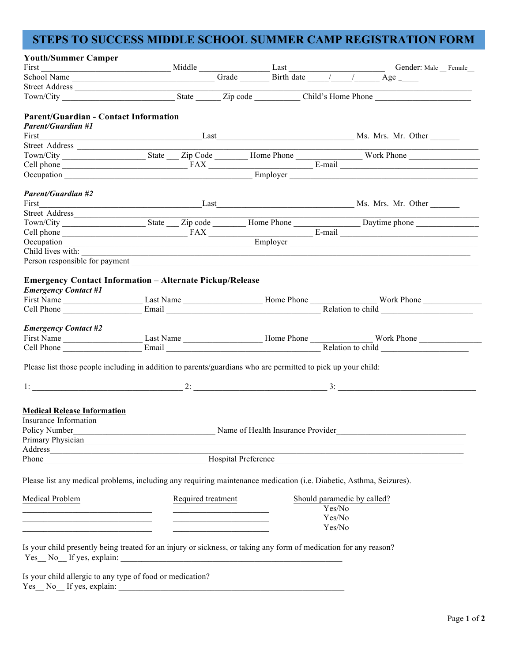# **STEPS TO SUCCESS MIDDLE SCHOOL SUMMER CAMP REGISTRATION FORM**

| <b>Youth/Summer Camper</b>                                                                                            |                                   |                                                             |  |        |                                                                                                                                                                                                                                                                    |
|-----------------------------------------------------------------------------------------------------------------------|-----------------------------------|-------------------------------------------------------------|--|--------|--------------------------------------------------------------------------------------------------------------------------------------------------------------------------------------------------------------------------------------------------------------------|
|                                                                                                                       |                                   |                                                             |  |        | First Gender: Male Gender: Male Female Gender: Male Female Gender: Male Female Gender: Male Female Gender: Male Female Gender: Male Female Gender: Male Female Gender: Male Female Gender: Male Female Gender: Male Female Gen                                     |
|                                                                                                                       |                                   |                                                             |  |        |                                                                                                                                                                                                                                                                    |
|                                                                                                                       |                                   |                                                             |  |        |                                                                                                                                                                                                                                                                    |
|                                                                                                                       |                                   |                                                             |  |        |                                                                                                                                                                                                                                                                    |
| <b>Parent/Guardian - Contact Information</b>                                                                          |                                   |                                                             |  |        |                                                                                                                                                                                                                                                                    |
| <b>Parent/Guardian #1</b>                                                                                             |                                   |                                                             |  |        |                                                                                                                                                                                                                                                                    |
| First                                                                                                                 |                                   |                                                             |  |        | Last Mr. Mr. Other                                                                                                                                                                                                                                                 |
|                                                                                                                       |                                   |                                                             |  |        |                                                                                                                                                                                                                                                                    |
|                                                                                                                       |                                   |                                                             |  |        |                                                                                                                                                                                                                                                                    |
|                                                                                                                       |                                   |                                                             |  |        |                                                                                                                                                                                                                                                                    |
|                                                                                                                       |                                   |                                                             |  |        | Cell phone <u>FAX</u><br>Cell phone <b>E-mail</b><br>Cell phone <b>E-mail</b>                                                                                                                                                                                      |
|                                                                                                                       |                                   |                                                             |  |        |                                                                                                                                                                                                                                                                    |
| <b>Parent/Guardian #2</b>                                                                                             |                                   |                                                             |  |        |                                                                                                                                                                                                                                                                    |
|                                                                                                                       |                                   |                                                             |  |        |                                                                                                                                                                                                                                                                    |
|                                                                                                                       |                                   |                                                             |  |        |                                                                                                                                                                                                                                                                    |
|                                                                                                                       |                                   |                                                             |  |        | Sueet Addiess<br>Town/City<br>Cell phone<br>Cell phone<br>Cell phone<br>Cecupation<br>Cecupation<br>Cecupation<br>Cecupation<br>Cecupation<br>Cecupation<br>Cecupation<br>Cecupation<br>Cecupation<br>Cecupation<br>Cecupation<br>Cecupation<br>Cecupation<br>Cecu |
|                                                                                                                       |                                   |                                                             |  |        |                                                                                                                                                                                                                                                                    |
|                                                                                                                       |                                   |                                                             |  |        |                                                                                                                                                                                                                                                                    |
|                                                                                                                       |                                   |                                                             |  |        | Child lives with:                                                                                                                                                                                                                                                  |
|                                                                                                                       |                                   |                                                             |  |        |                                                                                                                                                                                                                                                                    |
| <b>Emergency Contact Information - Alternate Pickup/Release</b><br><b>Emergency Contact #1</b>                        |                                   |                                                             |  |        |                                                                                                                                                                                                                                                                    |
|                                                                                                                       |                                   |                                                             |  |        |                                                                                                                                                                                                                                                                    |
|                                                                                                                       |                                   |                                                             |  |        |                                                                                                                                                                                                                                                                    |
|                                                                                                                       |                                   |                                                             |  |        |                                                                                                                                                                                                                                                                    |
| <b>Emergency Contact #2</b>                                                                                           |                                   |                                                             |  |        |                                                                                                                                                                                                                                                                    |
|                                                                                                                       |                                   |                                                             |  |        |                                                                                                                                                                                                                                                                    |
|                                                                                                                       |                                   |                                                             |  |        |                                                                                                                                                                                                                                                                    |
| Please list those people including in addition to parents/guardians who are permitted to pick up your child:          |                                   |                                                             |  |        |                                                                                                                                                                                                                                                                    |
|                                                                                                                       |                                   |                                                             |  |        |                                                                                                                                                                                                                                                                    |
|                                                                                                                       |                                   |                                                             |  |        |                                                                                                                                                                                                                                                                    |
|                                                                                                                       |                                   |                                                             |  |        |                                                                                                                                                                                                                                                                    |
| <b>Medical Release Information</b><br><b>Insurance Information</b>                                                    |                                   |                                                             |  |        |                                                                                                                                                                                                                                                                    |
| Policy Number                                                                                                         | Name of Health Insurance Provider |                                                             |  |        | the control of the control of the control of the control of the control of the control of                                                                                                                                                                          |
|                                                                                                                       |                                   |                                                             |  |        | Primary Physician https://www.archive.com/communications/communications/communications/communications/communications/communications/communications/communications/communications/communications/communications/communications/                                     |
|                                                                                                                       |                                   |                                                             |  |        |                                                                                                                                                                                                                                                                    |
|                                                                                                                       |                                   |                                                             |  |        | Phone Hospital Preference Hospital Preference                                                                                                                                                                                                                      |
|                                                                                                                       |                                   |                                                             |  |        |                                                                                                                                                                                                                                                                    |
| Please list any medical problems, including any requiring maintenance medication (i.e. Diabetic, Asthma, Seizures).   |                                   |                                                             |  |        |                                                                                                                                                                                                                                                                    |
| Medical Problem                                                                                                       | Required treatment                |                                                             |  |        | Should paramedic by called?                                                                                                                                                                                                                                        |
| <u> 1989 - Andrea Stadt, fransk politik (d. 1989)</u>                                                                 |                                   | the control of the control of the control of the control of |  | Yes/No |                                                                                                                                                                                                                                                                    |
| <u> 1989 - Johann Barn, mars ann an t-Amhainn an t-Amhainn an t-Amhainn an t-Amhainn an t-Amhainn an t-Amhainn an</u> |                                   |                                                             |  | Yes/No |                                                                                                                                                                                                                                                                    |
| <u> 1980 - Jan James James Barnett, amerikan bahasa (j. 1918).</u>                                                    |                                   |                                                             |  | Yes/No |                                                                                                                                                                                                                                                                    |
| Is your child presently being treated for an injury or sickness, or taking any form of medication for any reason?     |                                   |                                                             |  |        |                                                                                                                                                                                                                                                                    |
| Is your child allergic to any type of food or medication?<br>$Yes No __ If yes, explain: __$                          |                                   |                                                             |  |        |                                                                                                                                                                                                                                                                    |